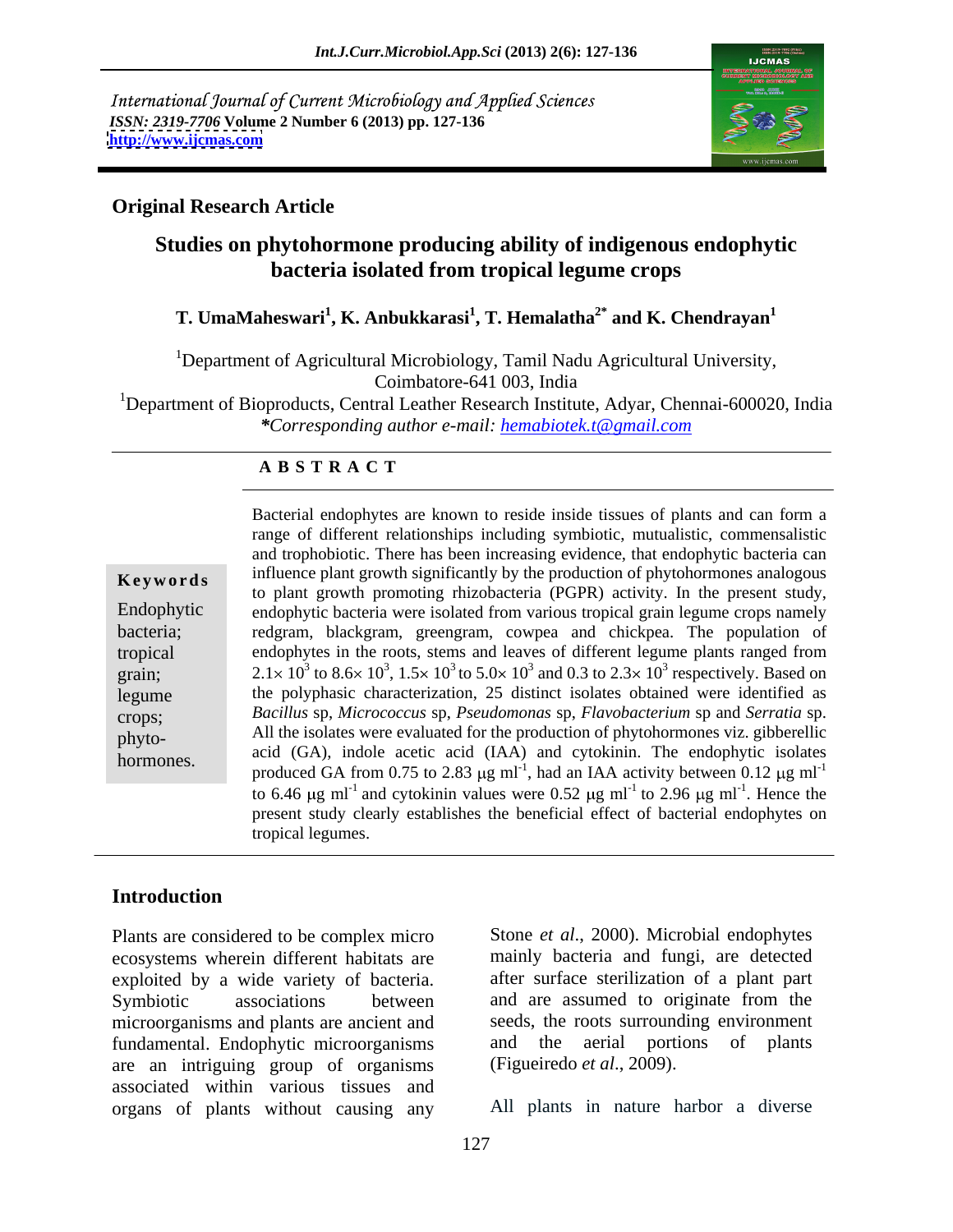International Journal of Current Microbiology and Applied Sciences *ISSN: 2319-7706* **Volume 2 Number 6 (2013) pp. 127-136 <http://www.ijcmas.com>**



#### **Original Research Article**

### **Studies on phytohormone producing ability of indigenous endophytic bacteria isolated from tropical legume crops**

#### **T. UmaMaheswari<sup>1</sup> , K. Anbukkarasi<sup>1</sup> , T. Hemalatha2\* and K. Chendrayan<sup>1</sup>**

<sup>1</sup>Department of Agricultural Microbiology, Tamil Nadu Agricultural University, Coimbatore-641 003, India

<sup>1</sup>Department of Bioproducts, Central Leather Research Institute, Adyar, Chennai-600020, India *\*Corresponding author e-mail: hemabiotek.t@gmail.com*

#### **A B S T R A C T**

| Keywords |  |  |  |
|----------|--|--|--|
|          |  |  |  |

discussed the polyphasic characterization, 25 distinct isolates obtained were identified as **Keywords** influence plant growth significantly by the production of phytohormones analogous Endophytic endophytic bacteria were isolated from various tropical grain legume crops namely bacteria; redgram, blackgram, greengram, cowpea and chickpea. The population of tropical endophytes in the roots, stems and leaves of different legume plants ranged from grain; 2.1 × 10<sup>3</sup> to 8.6 × 10<sup>3</sup>, 1.5 × 10<sup>3</sup> to 5.0 × 10<sup>3</sup> and 0.3 to 2.3 × 10<sup>3</sup> respectively. Based on crops; *Bacillus* sp, *Micrococcus* sp, *Pseudomonas* sp, *Flavobacterium* sp and *Serratia* sp. phyto- All the isolates were evaluated for the production of phytohormones viz. gibberellic Bacterial endophytes are known to reside inside tissues of plants and can form a<br>
range of different relationships including symbiotic, mutualistic, commensalistic<br>
and trophobicotic. There has been increasing evidence, t range of different relationships including symbiotic, mutualistic, commensalistic and trophobiotic. There has been increasing evidence, that endophytic bacteria can to plant growth promoting rhizobacteria (PGPR) activity. In the present study, acid (GA), indole acetic acid (IAA) and cytokinin. The endophytic isolates produced GA from 0.75 to 2.83  $\mu$ g ml<sup>-1</sup>, had an IAA activity between 0.12  $\mu$ g ml<sup>-1</sup> to 6.46  $\mu$ g ml<sup>-1</sup> and cytokinin values were 0.52  $\mu$ g ml<sup>-1</sup> to 2.96  $\mu$ g ml<sup>-1</sup>. Hence the . Hence the present study clearly establishes the beneficial effect of bacterial endophytes on tropical legumes.

### **Introduction**

Plants are considered to be complex micro ecosystems wherein different habitats are exploited by a wide variety of bacteria. Symbiotic associations between and are assumed to originate from the microorganisms and plants are ancient and fundamental. Endophytic microorganisms are an intriguing group of organisms associated within various tissues and organs of plants without causing any

Stone *et al*., 2000). Microbial endophytes mainly bacteria and fungi, are detected after surface sterilization of a plant part seeds, the roots surrounding environment aerial portions of plants (Figueiredo *et al*., 2009).

All plants in nature harbor a diverse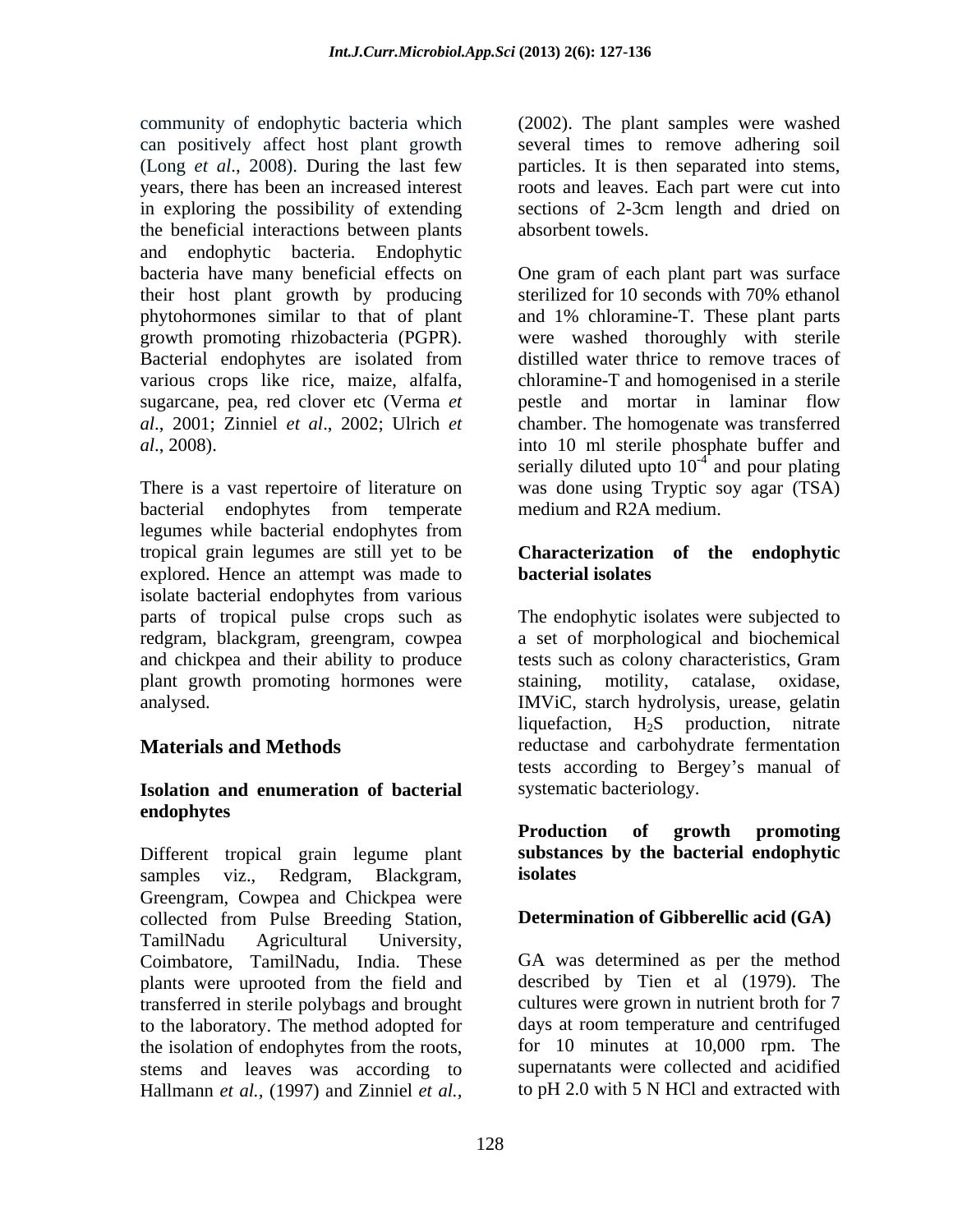community of endophytic bacteria which (2002). The plant samples were washed can positively affect host plant growth (Long *et al.*, 2008). During the last few particles. It is then separated into stems, years, there has been an increased interest roots and leaves. Each part were cut into in exploring the possibility of extending sections of 2-3cm length and dried on the beneficial interactions between plants and endophytic bacteria. Endophytic their host plant growth by producing sterilized for 10 seconds with 70% ethanol phytohormones similar to that of plant Bacterial endophytes are isolated from various crops like rice, maize, alfalfa,

bacterial endophytes from temperate legumes while bacterial endophytes from tropical grain legumes are still yet to be **Characterization of the endophytic** explored. Hence an attempt was made to **bacterial isolates** isolate bacterial endophytes from various parts of tropical pulse crops such as The endophytic isolates were subjected to redgram, blackgram, greengram, cowpea a set of morphological and biochemical and chickpea and their ability to produce tests such as colony characteristics, Gram plant growth promoting hormones were staining, motility,

#### **Isolation and enumeration of bacterial endophytes**

Different tropical grain legume plant samples viz., Redgram, Blackgram, isolates Greengram, Cowpea and Chickpea were collected from Pulse Breeding Station, TamilNadu Agricultural University, Coimbatore, TamilNadu, India. These plants were uprooted from the field and transferred in sterile polybags and brought to the laboratory. The method adopted for stems and leaves was according to Hallmann *et al.,* (1997) and Zinniel *et al.,*

several times to remove adhering soil absorbent towels.

bacteria have many beneficial effects on One gram of each plant part was surface growth promoting rhizobacteria (PGPR). were washed thoroughly with sterile sugarcane, pea, red clover etc (Verma *et*  pestle and mortar in laminar flow *al*., 2001; Zinniel *et al*., 2002; Ulrich *et*  chamber. The homogenate was transferred *al*., 2008). into 10 ml sterile phosphate buffer and There is a vast repertoire of literature on was done using Tryptic soy agar (TSA) sterilized for 10 seconds with 70% ethanol and 1% chloramine-T. These plant parts distilled water thrice to remove traces of chloramine-T and homogenised in a sterile serially diluted upto  $10^{-4}$  and pour plating  $^{4}$  and nour plating and pour plating medium and R2A medium.

## **bacterial isolates**

analysed. IMViC, starch hydrolysis, urease, gelatin **Materials and Methods** reductase and carbohydrate fermentation catalase, oxidase, liquefaction,  $H_2S$  production, nitrate tests according to Bergey's manual of systematic bacteriology.

#### **Production of growth promoting substances by the bacterial endophytic isolates**

#### **Determination of Gibberellic acid (GA)**

the isolation of endophytes from the roots, for 10 minutes at 10,000 rpm. The GA was determined as per the method described by Tien et al (1979). The cultures were grown in nutrient broth for 7 days at room temperature and centrifuged for 10 minutes at 10,000 rpm. The supernatants were collected and acidified to pH 2.0 with 5 N HCl and extracted with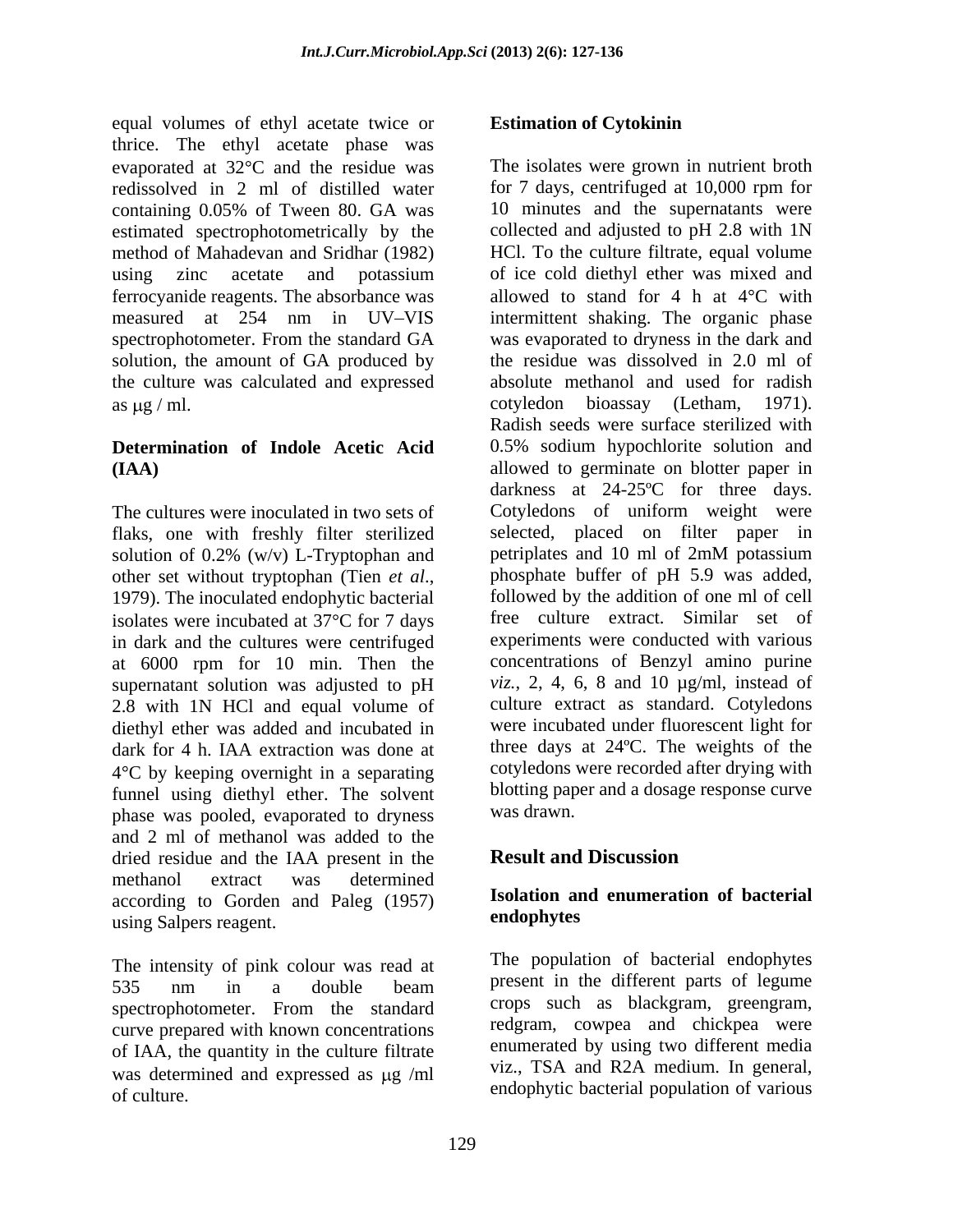equal volumes of ethyl acetate twice or **Estimation of Cytokinin** thrice. The ethyl acetate phase was redissolved in 2 ml of distilled water method of Mahadevan and Sridhar (1982) ferrocyanide reagents. The absorbance was solution, the amount of GA produced by the culture was calculated and expressed as  $\mu$ g / ml. cotyledon bioassay (Letham, 1971).

## **Determination of Indole Acetic Acid**

flaks, one with freshly filter sterilized selected, placed on filter paper in solution of 0.2% (w/v) L-Tryptophan and petriplates and 10 ml of 2mM potassium solution of 0.2% (w/v) L-Tryptophan and isolates were incubated at  $37^{\circ}$ C for 7 days in dark and the cultures were centrifuged at 6000 rpm for 10 min. Then the supernatant solution was adjusted to pH 2.8 with 1N HCl and equal volume of diethyl ether was added and incubated in  $4^{\circ}$ C by keeping overnight in a separating funnel using diethyl ether. The solvent blotting papers blotting papers was drawn. phase was pooled, evaporated to dryness and 2 ml of methanol was added to the<br>dried residue and the IAA present in the **Result and Discussion** dried residue and the IAA present in the methanol extract was determined according to Gorden and Paleg (1957) **ISOlation and**<br>using Salpers reagent **endophytes** using Salpers reagent.

The intensity of pink colour was read at 535 nm in a double beam present in the different parts of legume spectrophotometer. From the standard curve prepared with known concentrations of IAA, the quantity in the culture filtrate was determined and expressed as  $\mu$ g /ml of culture. endophytic bacterial population of various

#### **Estimation of Cytokinin**

evaporated at 32<sup>o</sup>C and the residue was The isolates were grown in nutrient broth containing 0.05% of Tween 80. GA was estimated spectrophotometrically by the collected and adjusted to pH 2.8 with 1N using zinc acetate and potassium of ice cold-diethyl-ether-was-mixed-and measured at 254 nm in UV–VIS intermittent shaking. The organic phase spectrophotometer. From the standard GA was evaporated to dryness in the dark and **(IAA)**  allowed to germinate on blotter paper in The cultures were inoculated in two sets of Cotyledons of uniform weight were other set without tryptophan (Tien *et al.*, phosphate buffer of pH 5.9 was added, 1979). The inoculated endophytic bacterial followed by the addition of one ml of cell dark for 4 h. IAA extraction was done at three days at 24ºC. The weights of the for 7 days, centrifuged at 10,000 rpm for 10 minutes and the supernatants were HCl. To the culture filtrate, equal volume of ice cold diethyl ether was mixed and allowed to stand for 4 h at  $4^{\circ}$ C with intermittent shaking. The organic phase the residue was dissolved in 2.0 ml of absolute methanol and used for radish cotyledon bioassay (Letham, 1971). Radish seeds were surface sterilized with 0.5% sodium hypochlorite solution and darkness at 24-25ºC for three days. selected, placed on filter paper in petriplates and 10 ml of 2mM potassium phosphate buffer of pH 5.9 was added, followed by the addition of one ml of cell free culture extract. Similar set of experiments were conducted with various concentrations of Benzyl amino purine *viz.*, 2, 4, 6, 8 and 10 µg/ml, instead of culture extract as standard. Cotyledons were incubated under fluorescent light for cotyledons were recorded after drying with blotting paper and a dosage response curve was drawn.

### **Result and Discussion**

#### **Isolation and enumeration of bacterial endophytes**

The population of bacterial endophytes present in the different parts of legume crops such as blackgram, greengram, redgram, cowpea and chickpea were enumerated by using two different media viz., TSA and R2A medium. In general,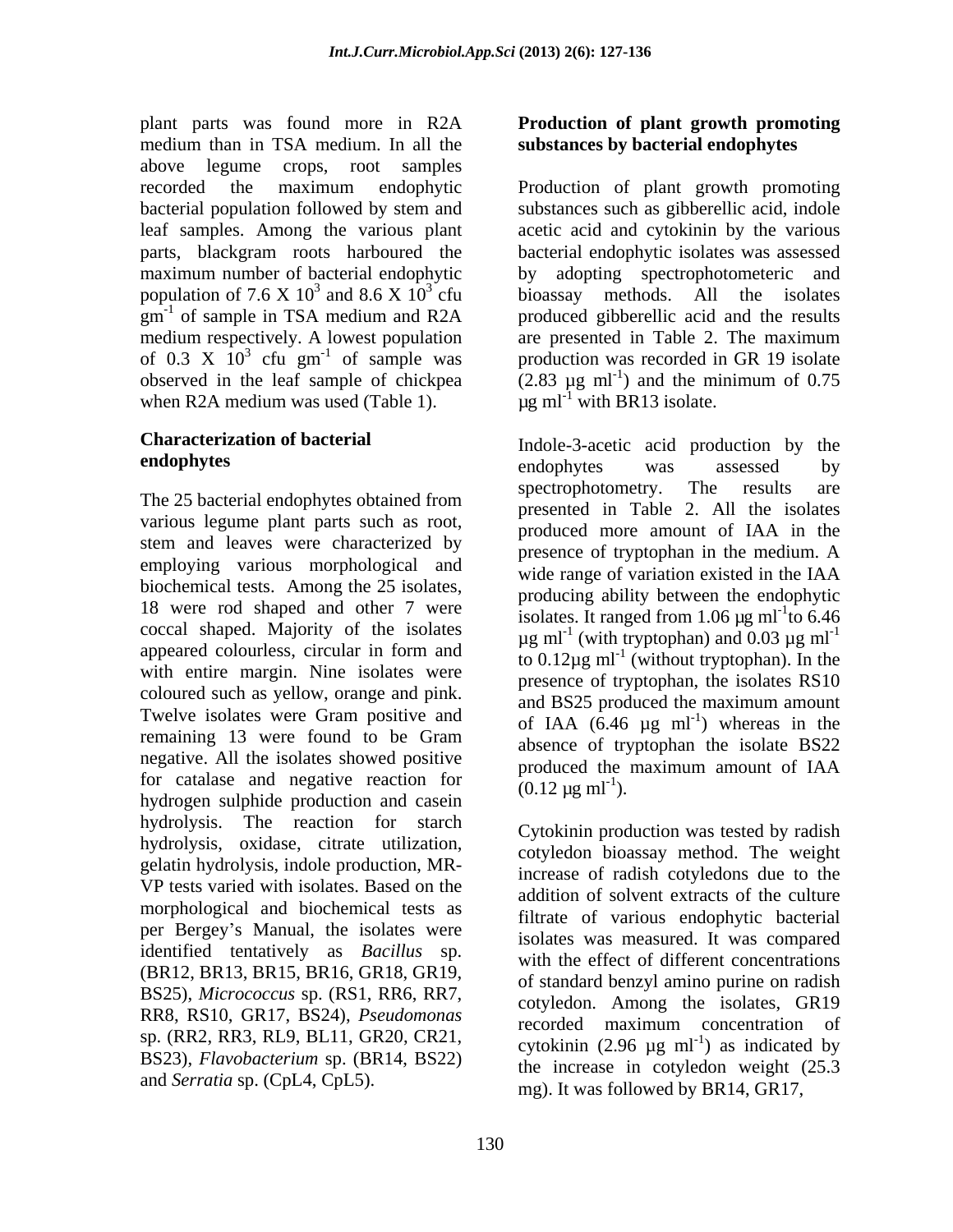plant parts was found more in R2A **Production of plant growth promoting** medium than in TSA medium. In all the above legume crops, root samples bacterial population followed by stem and population of 7.6 X 10<sup>3</sup> and 8.6 X 10<sup>3</sup> cfu bioassay methods. All the isolates of 0.3 X  $10^3$  cfu gm<sup>-1</sup> of sample was when R2A medium was used (Table 1).

various legume plant parts such as root, stem and leaves were characterized by employing various morphological and biochemical tests. Among the 25 isolates, 18 were rod shaped and other 7 were coccal shaped. Majority of the isolates appeared colourless, circular in form and with entire margin. Nine isolates were coloured such as yellow, orange and pink. and BS25 produced the maximum amount Twelve isolates were Gram positive and remaining 13 were found to be Gram negative. All the isolates showed positive and a produced the maximum amount of IAA for catalase and negative reaction for  $(0.12 \,\mu g \text{ ml}^{-1})$ . hydrogen sulphide production and casein hydrolysis. The reaction for starch hydrolysis, oxidase, citrate utilization, gelatin hydrolysis, indole production, MR- VP tests varied with isolates. Based on the morphological and biochemical tests as per Bergey's Manual, the isolates were identified tentatively as *Bacillus* sp. RR8, RS10, GR17, BS24), *Pseudomonas* sp. (RR2, RR3, RL9, BL11, GR20, CR21, BS23), *Flavobacterium* sp. (BR14, BS22) and *Serratia* sp. (CpL4, CpL5).

## 130

# **substances by bacterial endophytes**

recorded the maximum endophytic Production of plant growth promoting leaf samples. Among the various plant acetic acid and cytokinin by the various parts, blackgram roots harboured the bacterial endophytic isolates was assessed maximum number of bacterial endophytic by adopting spectrophotometeric and  $3$  and  $9.6 \times 10^3$  cfu biogram mathods  $\lambda$ <sup>11</sup> the isolates and  $8.6 \times 10^3$  cfu bioassay methods. All the isolates  $3 \text{ eV}$  hierarcy methods  $\lambda$ <sup>11</sup> the isolates cfu bioassay methods. All the isolates  $\text{g}$ m<sup>-1</sup> of sample in TSA medium and R2A produced gibberellic acid and the results medium respectively. A lowest population are presented in Table 2. The maximum  $3 \text{ cm}^{-1}$  of sample was production was recorded in GR 19 isolate observed in the leaf sample of chickpea  $(2.83 \text{ µg ml}^{-1})$  and the minimum of 0.75 substances such as gibberellic acid, indole bioassay methods. All the isolates ) and the minimum of 0.75  $\mu$ g ml<sup>-1</sup> with BR13 isolate.

**Characterization of bacterial**  Indole-3-acetic acid production by the **endophytes** endophytes was assessed by The 25 bacterial endophytes obtained from spectrophotometry. The results are endophytes was assessed by spectrophotometry. The results are presented in Table 2. All the isolates produced more amount of IAA in the presence of tryptophan in the medium. A wide range of variation existed in the IAA producing ability between the endophytic isolates. It ranged from 1.06  $\mu$ g ml<sup>-1</sup>to 6.46 to 6.46  $\mu$ g ml<sup>-1</sup> (with tryptophan) and 0.03  $\mu$ g ml<sup>-1</sup> to  $0.12\mu$ g ml<sup>-1</sup> (without tryptophan). In the presence of tryptophan, the isolates RS10 and BS25 produced the maximum amount of IAA  $(6.46 \text{ µg ml}^{-1})$  whereas in the ) whereas in the absence of tryptophan the isolate BS22 produced the maximum amount of IAA  $(0.12 \,\mu g \text{ ml}^{-1}).$ ).

(BR12, BR13, BR15, BR16, GR18, GR19,  $\frac{m}{n}$  of standard benzyl amino purine on radish BS25), *Micrococcus* sp. (RS1, RR6, RR7,  $\frac{m}{n}$  cotyledon. Among the isolates. GR19 Cytokinin production was tested by radish cotyledon bioassay method. The weight increase of radish cotyledons due to the addition of solvent extracts of the culture filtrate of various endophytic bacterial isolates was measured. It was compared with the effect of different concentrations cotyledon. Among the isolates, GR19 recorded maximum concentration of cytokinin  $(2.96 \text{ µg ml}^{-1})$  as indicated by ) as indicated by the increase in cotyledon weight (25.3 mg). It was followed by BR14, GR17,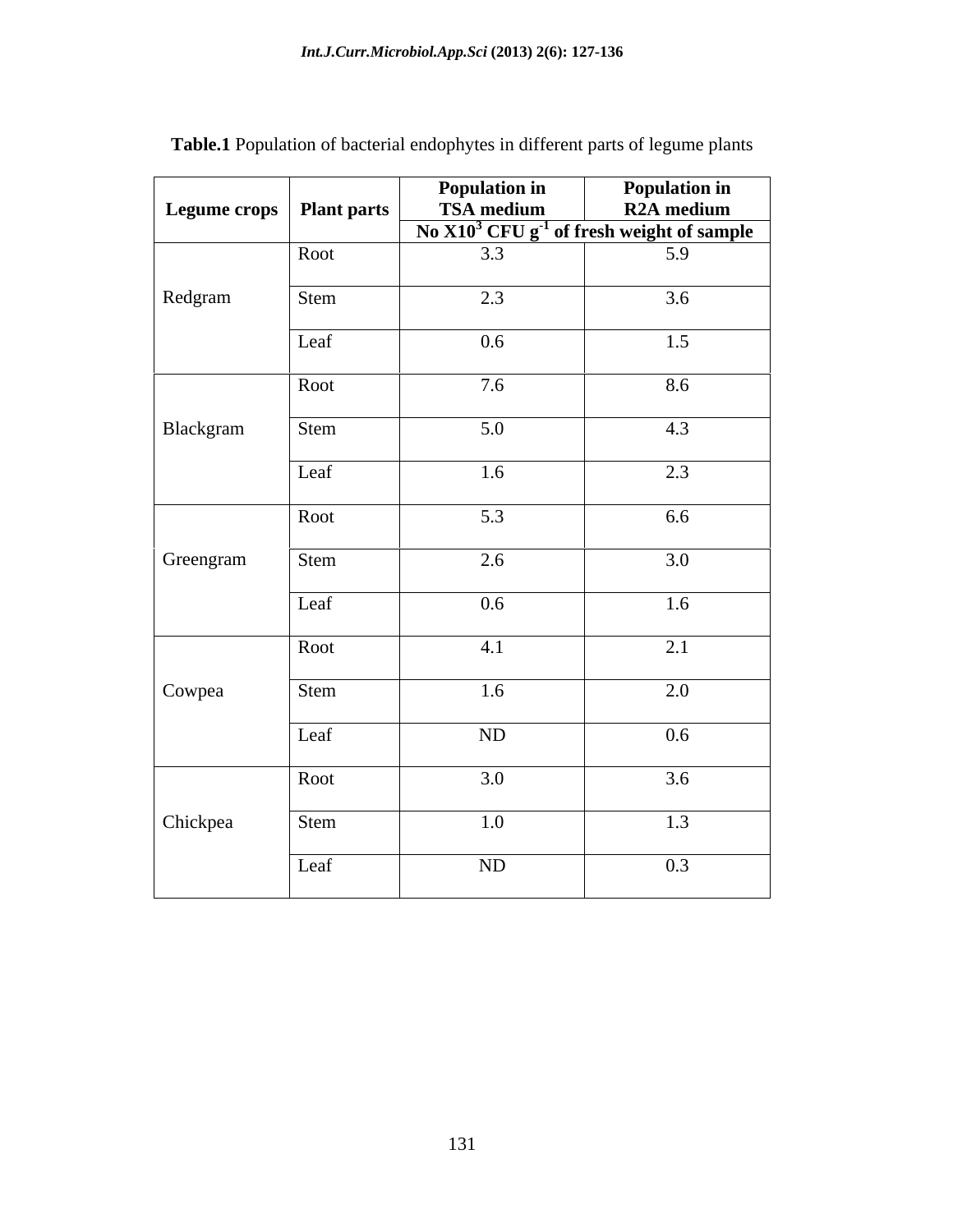| Legume crops   Plant parts |      |         |                                                                                                         |
|----------------------------|------|---------|---------------------------------------------------------------------------------------------------------|
|                            |      |         | <b>Population in</b><br>TSA medium<br>No X10 <sup>3</sup> CFU g <sup>-1</sup> of fresh weight of sample |
|                            | Root | 3.3     | 5.9                                                                                                     |
| Redgram                    | Stem | 2.3     | 3.6                                                                                                     |
|                            | Leaf | $0.6\,$ | 1.5                                                                                                     |
|                            | Root | 7.6     | 8.6                                                                                                     |
| Blackgram                  | Stem | 5.0     | 4.3                                                                                                     |
|                            | Leaf | 1.6     | 2.3                                                                                                     |
|                            | Root | 5.3     | 6.6                                                                                                     |
| Greengram                  | Stem | 2.6     | 3.0                                                                                                     |
|                            |      |         |                                                                                                         |
|                            | Leaf | $0.6\,$ | 1.6                                                                                                     |
|                            | Root | 4.1     | 2.1                                                                                                     |
| Cowpea                     | Stem | 1.6     | 2.0                                                                                                     |
|                            | Leaf | ND      | $0.6\,$                                                                                                 |
|                            | Root | 3.0     | 3.6                                                                                                     |
| Chickpea                   | Stem | 1.0     | 1.3                                                                                                     |
|                            | Leaf | ND      | 0.3                                                                                                     |

**Table.1** Population of bacterial endophytes in different parts of legume plants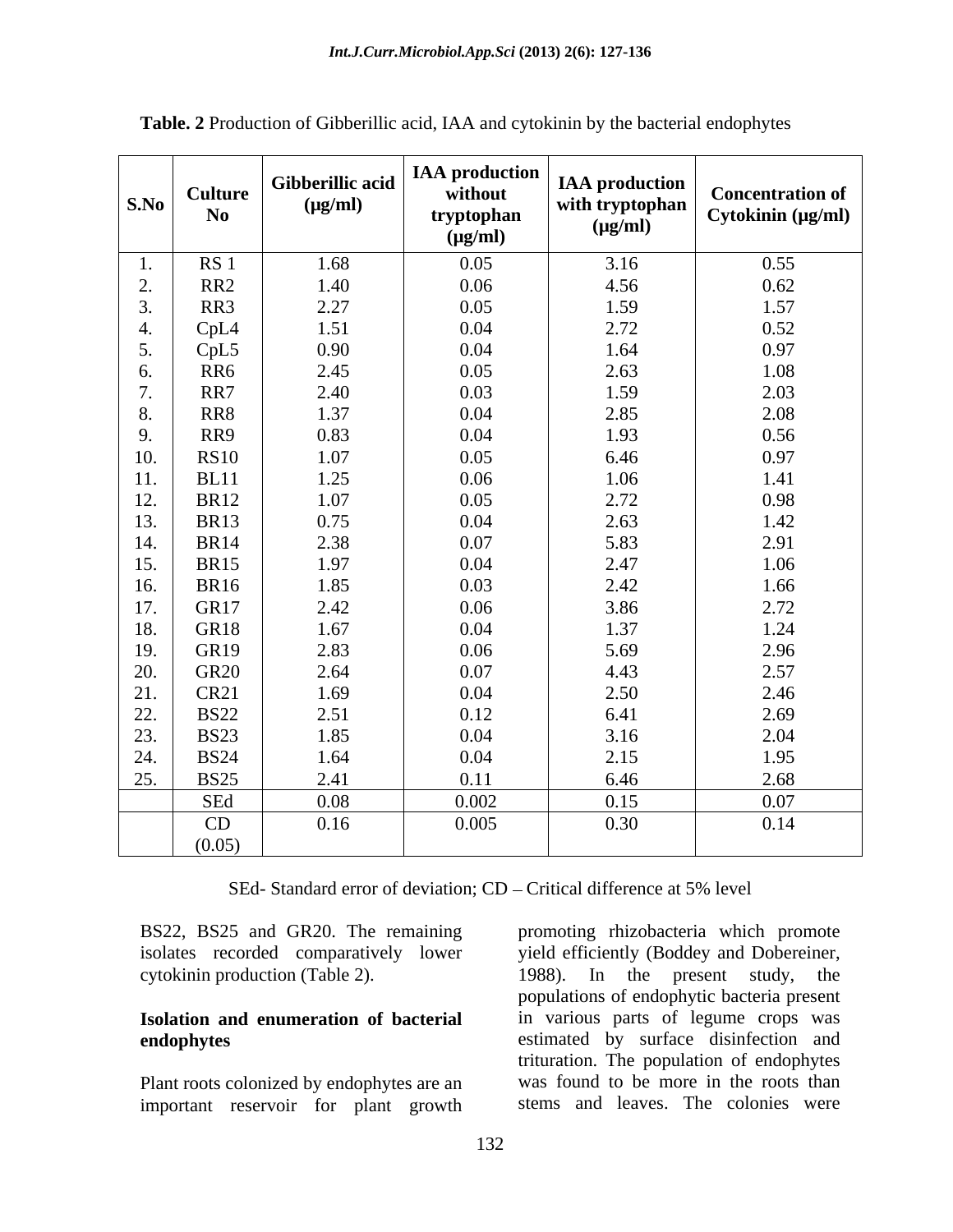| S.No           | <b>Culture</b><br>$\bf No$ | Gibberillic acid<br>$(\mu g/ml)$ | <b>IAA</b> production<br>without<br>tryptophan<br>$(\mu g/ml)$ | <b>IAA</b> production<br>with tryptophan<br>$(\mu g/ml)$ | <b>Concentration of</b><br>Cytokinin (µg/ml) |
|----------------|----------------------------|----------------------------------|----------------------------------------------------------------|----------------------------------------------------------|----------------------------------------------|
| $\mathbf{I}$ . | RS <sub>1</sub>            | 1.68                             | 0.05                                                           | 3.16                                                     | 0.55                                         |
| 2.             | RR2                        | 1.40                             | 0.06                                                           | 4.56                                                     | 0.62                                         |
| 3.             | RR3                        | 2.27                             | 0.05                                                           | 1.59                                                     | 1.57                                         |
| 4.             | CpL4                       | 1.51                             | 0.04                                                           | 2.72                                                     | 0.52                                         |
| 5.             | CpL5                       | 0.90                             | 0.04                                                           | 1.64                                                     | 0.97                                         |
| 6.             | RR6                        | 2.45                             | 0.05                                                           | 2.63                                                     | 1.08                                         |
| 7.             | RR7                        | 2.40                             | 0.03                                                           | 1.59                                                     | 2.03                                         |
| 8.             | RR8                        | 1.37                             | 0.04                                                           | 2.85                                                     | 2.08                                         |
| 9.             | RR9                        | 0.83                             | 0.04                                                           | 1.93                                                     | 0.56                                         |
| 10.            | RS10                       | 1.07                             | 0.05                                                           | 6.46                                                     | 0.97                                         |
| 11.            | <b>BL11</b>                | 1.25                             | 0.06                                                           | 1.06                                                     | 1.41                                         |
| 12.            | <b>BR12</b>                | 1.07                             | 0.05                                                           | 2.72                                                     | 0.98                                         |
| 13.            | <b>BR13</b>                | 0.75                             | 0.04                                                           | 2.63                                                     | 1.42                                         |
| 14.            | <b>BR14</b>                | 2.38                             | 0.07                                                           | 5.83                                                     | 2.91                                         |
| 15.            | <b>BR15</b>                | 1.97                             | 0.04                                                           | 2.47                                                     | 1.06                                         |
| 16.            | <b>BR16</b>                | 1.85                             | 0.03                                                           | 2.42                                                     | 1.66                                         |
| 17.            | GR17                       | 2.42                             | 0.06                                                           | 3.86                                                     | 2.72                                         |
| 18.            | GR18                       | 1.67                             | 0.04                                                           | 1.37                                                     | 1.24                                         |
| 19.            | GR19                       | 2.83                             | 0.06                                                           | 5.69                                                     | 2.96                                         |
| 20.            | <b>GR20</b>                | 2.64                             | 0.07                                                           | 4.43                                                     | 2.57                                         |
| 21.            | <b>CR21</b>                | 1.69                             | 0.04                                                           | 2.50                                                     | 2.46                                         |
| 22.            | <b>BS22</b>                | 2.51                             | 0.12                                                           | 6.41                                                     | 2.69                                         |
| 23.            | <b>BS23</b>                | 1.85                             | 0.04                                                           | 3.16                                                     | 2.04                                         |
| 24.            | <b>BS24</b>                | 1.64                             | 0.04                                                           | 2.15                                                     | 1.95                                         |
| 25.            | <b>BS25</b>                | 2.41                             | 0.11                                                           | 6.46                                                     | 2.68                                         |
|                | SEd                        | 0.08                             | 0.002                                                          | 0.15                                                     | 0.07                                         |
|                | CD                         | 0.16                             | 0.005                                                          | 0.30                                                     | 0.14                                         |
|                | (0.05)                     |                                  |                                                                |                                                          |                                              |

**Table. 2** Production of Gibberillic acid, IAA and cytokinin by the bacterial endophytes

SEd- Standard error of deviation; CD – Critical difference at 5% level

Plant roots colonized by endophytes are an important reservoir for plant growth

BS22, BS25 and GR20. The remaining promoting rhizobacteria which promote isolates recorded comparatively lower yield efficiently (Boddey and Dobereiner, cytokinin production (Table 2). 1988). In the present study, the **Isolation and enumeration of bacterial** in various parts of legume crops was **endophytes** estimated by surface disinfection and populations of endophytic bacteria present trituration. The population of endophytes was found to be more in the roots than stems and leaves. The colonies were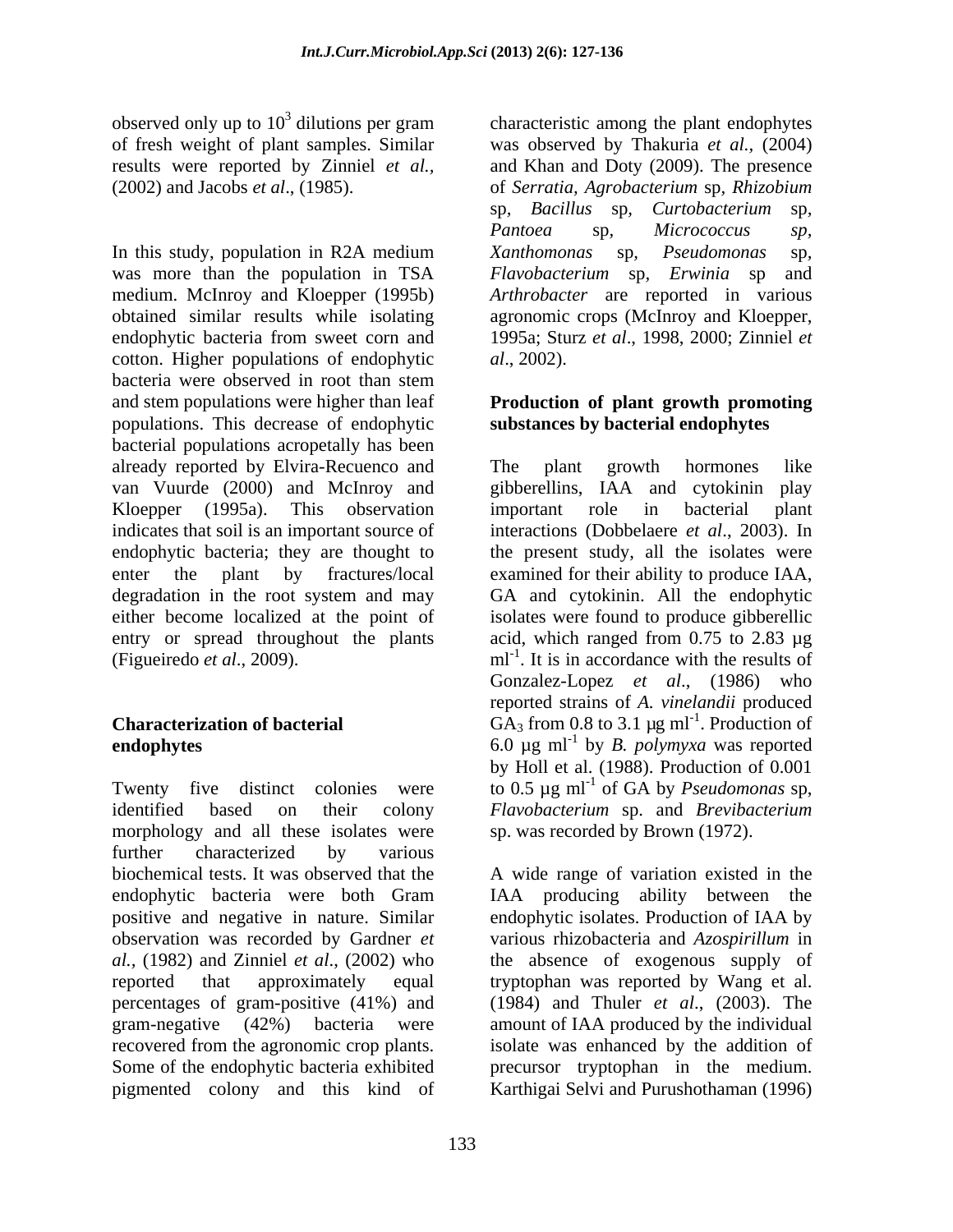observed only up to  $10^3$  dilutions per gram characteristic among the plant endophytes

In this study, population in R2A medium *Xanthomonas* sp, *Pseudomonas* sp, was more than the population in TSA Flavobacterium sp, Erwinia sp and medium. McInroy and Kloepper (1995b) *Arthrobacter* are reported in various obtained similar results while isolating agronomic crops (McInroy and Kloepper, endophytic bacteria from sweet corn and 1995a; Sturz *et al*., 1998, 2000; Zinniel *et*  cotton. Higher populations of endophytic *al.*, 2002). bacteria were observed in root than stem and stem populations were higher than leaf **Production of plant growth promoting** populations. This decrease of endophytic bacterial populations acropetally has been already reported by Elvira-Recuenco and van Vuurde (2000) and McInroy and gibberellins, IAA and cytokinin play Kloepper (1995a). This observation important role in bacterial plant indicates that soil is an important source of endophytic bacteria; they are thought to the present study, all the isolates were enter the plant by fractures/local examined for their ability to produce IAA, degradation in the root system and may GA and cytokinin. All the endophytic either become localized at the point of isolates were found to produce gibberellic entry or spread throughout the plants acid, which ranged from 0.75 to 2.83 µg (Figueiredo *et al.*, 2009).  $ml^{-1}$ . It is in accordance with the results of

identified based on their colony *Flavobacterium* sp. and *Brevibacterium*  morphology and all these isolates were further characterized by various biochemical tests. It was observed that the A wide range of variation existed in the endophytic bacteria were both Gram positive and negative in nature. Similar endophytic isolates. Production of IAA by observation was recorded by Gardner *et*  various rhizobacteria and *Azospirillum* in *al.,* (1982) and Zinniel *et al*., (2002) who the absence of exogenous supply of reported that approximately equal tryptophan was reported by Wang et al. percentages of gram-positive (41%) and (1984) and Thuler *et al*., (2003). The gram-negative (42%) bacteria were amount of IAA produced by the individual recovered from the agronomic crop plants. isolate was enhanced by the addition of Some of the endophytic bacteria exhibited precursor tryptophan in the medium. pigmented colony and this kind of Karthigai Selvi and Purushothaman (1996)

of fresh weight of plant samples. Similar was observed by Thakuria *et al.,* (2004) results were reported by Zinniel *et al.,* and Khan and Doty (2009). The presence (2002) and Jacobs *et al*., (1985). of *Serratia, Agrobacterium* sp*, Rhizobium* sp*, Bacillus* sp*, Curtobacterium* sp*, Pantoea* sp*, Micrococcus sp, Xanthomonas* sp*, Pseudomonas* sp*, Flavobacterium* sp*, Erwinia* sp and *al*., 2002).

## **substances by bacterial endophytes**

**Characterization of bacterial**  $GA_3$  from 0.8 to 3.1  $\mu$ g ml<sup>-1</sup>. Production of **endophytes** 6.0 µg ml-1 by *B. polymyxa* was reported Twenty five distinct colonies were to 0.5  $\mu$ g ml<sup>-1</sup> of GA by *Pseudomonas* sp, The plant growth hormones like important role in bacterial plant interactions (Dobbelaere *et al.*, 2003). In examined for their ability to produce IAA,<br>GA and cytokinin. All the endophytic Gonzalez-Lopez *et al*., (1986) who reported strains of *A. vinelandii* produced by Holl et al. (1988). Production of 0.001 of GA by *Pseudomonas* sp, sp. was recorded by Brown (1972).

IAA producing ability between the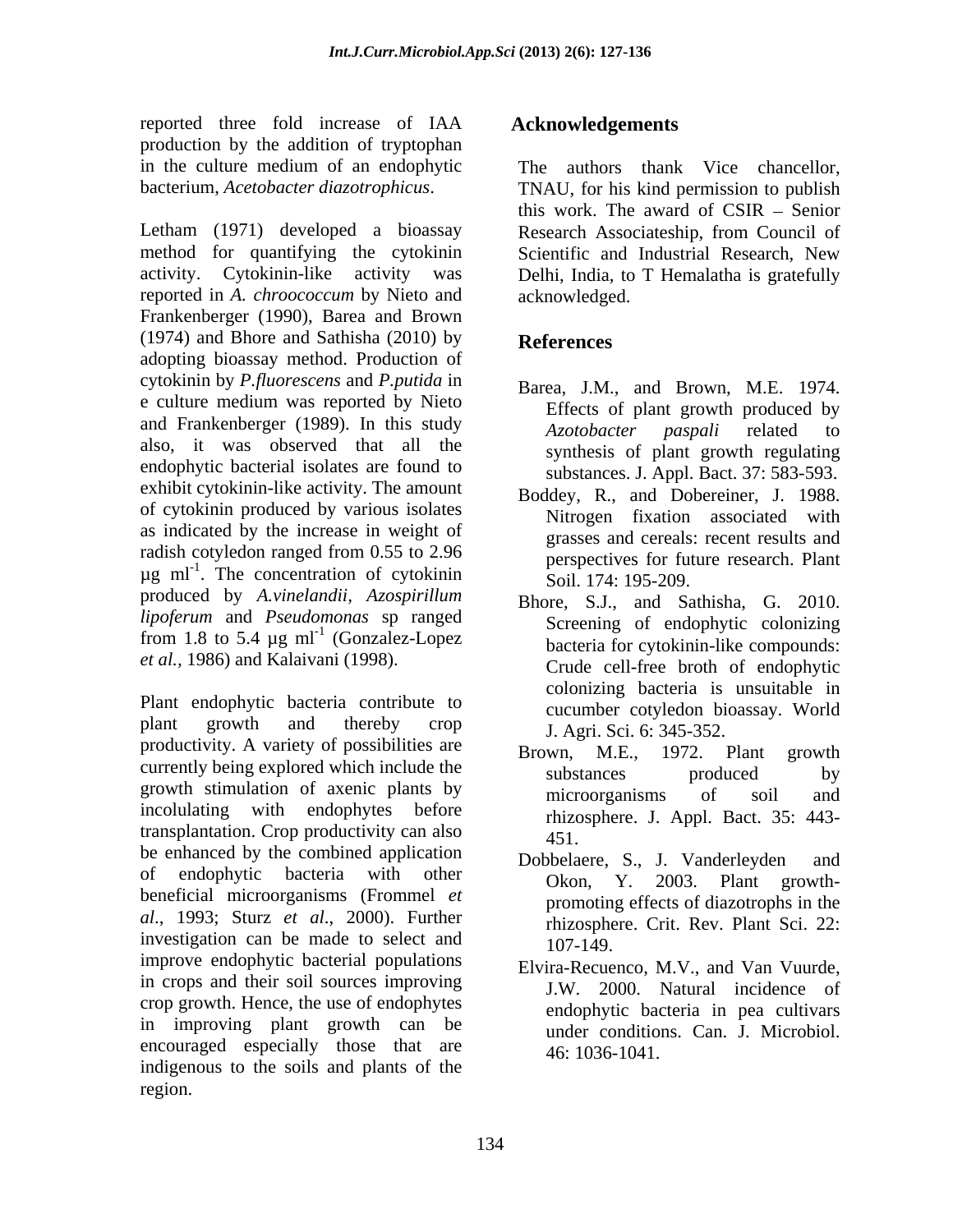reported three fold increase of IAA production by the addition of tryptophan

Letham (1971) developed a bioassay Research Associateship, from Council of method for quantifying the cytokinin Scientific and Industrial Research, New activity. Cytokinin-like activity was Delhi, India, to T Hemalatha is gratefully reported in *A. chroococcum* by Nieto and Frankenberger (1990), Barea and Brown  $(1974)$  and Bhore and Sathisha  $(2010)$  by **References** adopting bioassay method. Production of cytokinin by *P.fluorescens* and *P.putida* in e culture medium was reported by Nieto and Frankenberger (1989). In this study  $Azotobacter$  paspali related to also, it was observed that all the endophytic bacterial isolates are found to exhibit cytokinin-like activity. The amount of cytokinin produced by various isolates as indicated by the increase in weight of radish cotyledon ranged from 0.55 to 2.96  $\mu$ g ml<sup>-1</sup>. The concentration of cytokinin  $\frac{\text{poly}}{\text{Sol}}$  174. 195-209 produced by *A.vinelandii, Azospirillum lipoferum* and *Pseudomonas* sp ranged from 1.8 to 5.4  $\mu$ g ml<sup>-1</sup> (Gonzalez-Lopez *et al.,* 1986) and Kalaivani (1998).

Plant endophytic bacteria contribute to plant growth and thereby crop  $I$   $\Delta$  or  $\text{Sci}$  6:345-352 productivity. A variety of possibilities are Brown, M.E., 1972. Plant growth currently being explored which include the substances by substances by growth stimulation of axenic plants by microorganisms of soil and incolulating with endophytes before transplantation. Crop productivity can also  $451$ . be enhanced by the combined application Dobbelaere, S., J. Vanderleyden and of endophytic bacteria with other  $\overrightarrow{O}$   $\overrightarrow{O}$   $\overrightarrow{O}$   $\overrightarrow{O}$   $\overrightarrow{O}$   $\overrightarrow{O}$   $\overrightarrow{O}$   $\overrightarrow{O}$   $\overrightarrow{O}$   $\overrightarrow{O}$   $\overrightarrow{O}$   $\overrightarrow{O}$   $\overrightarrow{O}$   $\overrightarrow{O}$   $\overrightarrow{O}$   $\overrightarrow{O}$   $\overrightarrow{O}$   $\overrightarrow{O}$   $\overrightarrow{O}$   $\overrightarrow{O}$   $\overrightarrow{O}$ or endophytic bacteria with other<br>beneficial microorganisms (Frommel *et* **beneficial microorganisms** (Frommel *et* **contract of distants** in the *al*., 1993; Sturz *et al*., 2000). Further investigation can be made to select and  $107-149$ . improve endophytic bacterial populations in crops and their soil sources improving crop growth. Hence, the use of endophytes in improving plant growth can be encouraged especially those that are indigenous to the soils and plants of the region.

#### **Acknowledgements**

in the culture medium of an endophytic bacterium, *Acetobacter diazotrophicus*. TNAU, for his kind permission to publish The authors thank Vice chancellor, this work. The award of  $CSIR -$  Senior acknowledged.

### **References**

- Barea, J.M., and Brown, M.E. 1974. Effects of plant growth produced by *Azotobacter paspali* related to synthesis of plant growth regulating substances. J. Appl. Bact. 37: 583-593.
- Boddey, R., and Dobereiner, J. 1988. Nitrogen fixation associated with grasses and cereals: recent results and perspectives for future research. Plant Soil. 174: 195-209.
- (Gonzalez-Lopez bacteria for cytokinin-like compounds: Bhore, S.J., and Sathisha, G. 2010. Screening of endophytic colonizing Crude cell-free broth of endophytic colonizing bacteria is unsuitable in cucumber cotyledon bioassay. World J. Agri. Sci. 6: 345-352.
	- Brown, M.E., 1972. Plant growth substances produced by microorganisms of soil and rhizosphere. J. Appl. Bact. 35: 443- 451.
	- Dobbelaere, S., J. Vanderleyden Okon, Y. 2003. promoting effects of diazotrophs in the rhizosphere. Crit. Rev. Plant Sci. 22: 107-149.
	- Elvira-Recuenco, M.V., and Van Vuurde, J.W. 2000. Natural incidence of endophytic bacteria in pea cultivars under conditions. Can. J. Microbiol. 46: 1036-1041.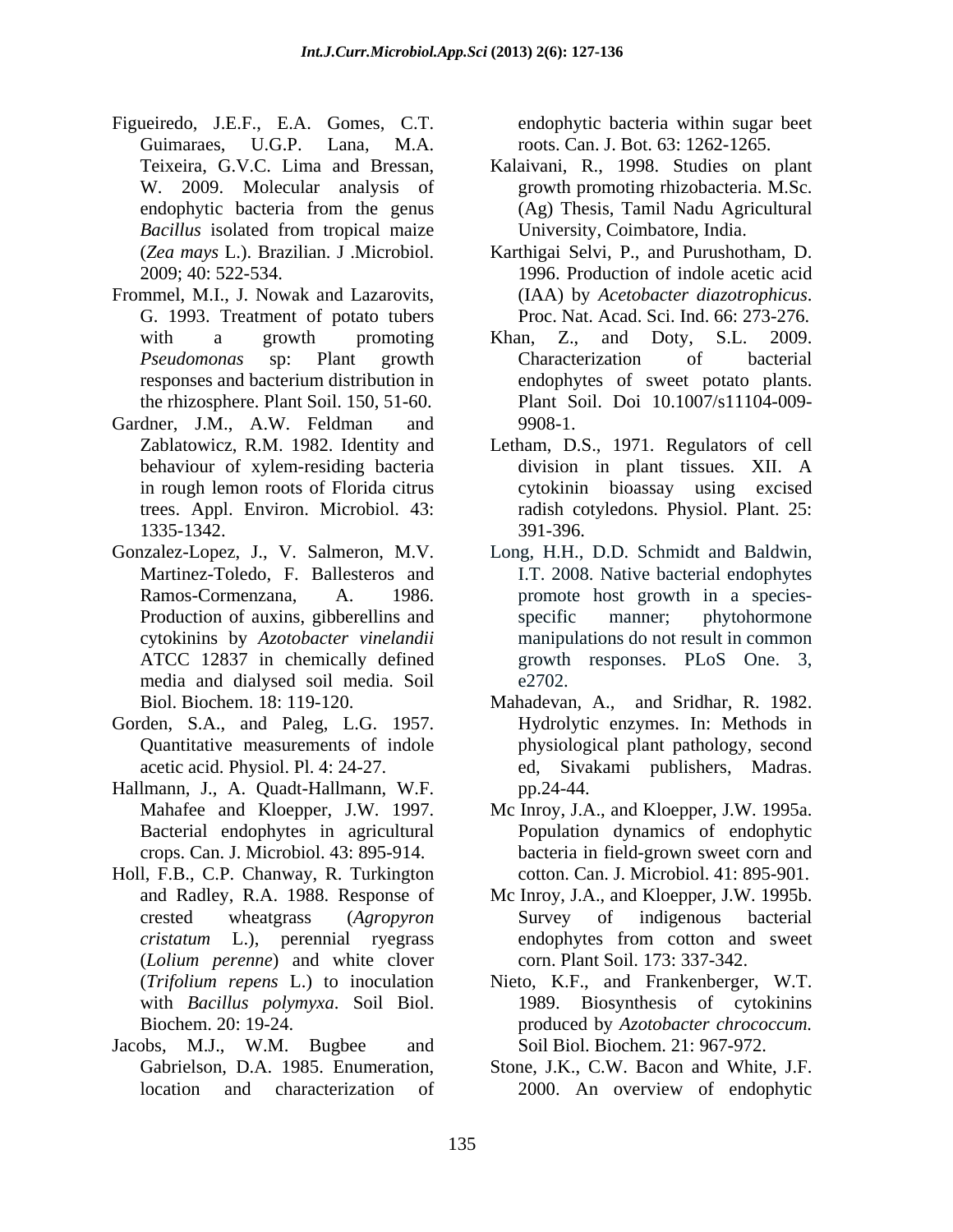- Figueiredo, J.E.F., E.A. Gomes, C.T. Guimaraes, U.G.P. Lana, M.A. roots. Can. J. Bot. 63: 1262-1265.
- Frommel, M.I., J. Nowak and Lazarovits, (IAA) by Acetobacter diazotrophicus.
- Gardner, J.M., A.W. Feldman and 9908-1.
- cytokinins by *Azotobacter vinelandii* media and dialysed soil media. Soil
- Gorden, S.A., and Paleg, L.G. 1957.
- Hallmann, J., A. Quadt-Hallmann, W.F.
- Holl, F.B., C.P. Chanway, R. Turkington (*Lolium perenne*) and white clover
- Jacobs, M.J., W.M. Bugbee and

endophytic bacteria within sugar beet

- Teixeira, G.V.C. Lima and Bressan, Kalaivani, R., 1998. Studies on plant W. 2009. Molecular analysis of growth promoting rhizobacteria. M.Sc. endophytic bacteria from the genus (Ag) Thesis, Tamil Nadu Agricultural *Bacillus* isolated from tropical maize University, Coimbatore, India. (Ag) Thesis, Tamil Nadu Agricultural University, Coimbatore, India.
- (*Zea mays* L.). Brazilian. J .Microbiol. Karthigai Selvi, P., and Purushotham, D. 2009; 40: 522-534. 1996. Production of indole acetic acid G. 1993. Treatment of potato tubers Proc. Nat. Acad. Sci. Ind. 66: 273-276. (IAA) by *Acetobacter diazotrophicus*. Proc. Nat. Acad. Sci. Ind. 66: 273-276.
- with a growth promoting Khan, Z., and Doty, S.L. 2009. *Pseudomonas* sp: Plant growth responses and bacterium distribution in endophytes of sweet potato plants. the rhizosphere. Plant Soil. 150, 51-60. Plant Soil. Doi 10.1007/s11104-009- Khan, Z., and Doty, S.L. 2009. Characterization of bacterial 9908-1.
- Zablatowicz, R.M. 1982. Identity and Letham, D.S., 1971. Regulators of cell behaviour of xylem-residing bacteria division in plant tissues. XII. A in rough lemon roots of Florida citrus cytokinin bioassay using excised trees. Appl. Environ. Microbiol. 43: radish cotyledons. Physiol. Plant. 25: 1335-1342. division in plant tissues. XII. A 391-396.
- Gonzalez-Lopez, J., V. Salmeron, M.V. Long, H.H., D.D. Schmidt and Baldwin, Martinez-Toledo, F. Ballesteros and I.T. 2008. Native bacterial endophytes Ramos-Cormenzana, A. 1986. promote host growth in a species-Production of auxins, gibberellins and specific manner; phytohormone ATCC 12837 in chemically defined growth responses. PLoS One. 3, specific manner; phytohormone manipulations do not result in common  $e^{2702}$ .
	- Biol. Biochem. 18: 119-120. Mahadevan, A., and Sridhar, R. 1982. Quantitative measurements of indole physiological plant pathology, second acetic acid. Physiol. Pl. 4: 24-27. ed, Sivakami publishers, Madras. Hydrolytic enzymes. In: Methods in pp.24-44.
	- Mahafee and Kloepper, J.W. 1997. Mc Inroy, J.A., and Kloepper, J.W. 1995a. Bacterial endophytes in agricultural Population dynamics of endophytic crops. Can. J. Microbiol. 43: 895-914. bacteria in field-grown sweet corn and cotton. Can. J. Microbiol. 41: 895-901.
	- and Radley, R.A. 1988. Response of Mc Inroy, J.A., and Kloepper, J.W. 1995b. crested wheatgrass (*Agropyron cristatum* L.), perennial ryegrass Survey of indigenous bacterial endophytes from cotton and sweet corn. Plant Soil. 173: 337-342.
	- (*Trifolium repens* L.) to inoculation Nieto, K.F., and Frankenberger, W.T. with *Bacillus polymyxa*. Soil Biol. 1989. Biosynthesis of cytokinins Biochem. 20: 19-24. produced by *Azotobacter chrococcum.* Soil Biol. Biochem. 21: 967-972.
	- Gabrielson, D.A. 1985. Enumeration, Stone, J.K., C.W. Bacon and White, J.F. location and characterization of 2000. An overview of endophytic 2000. An overview of endophytic